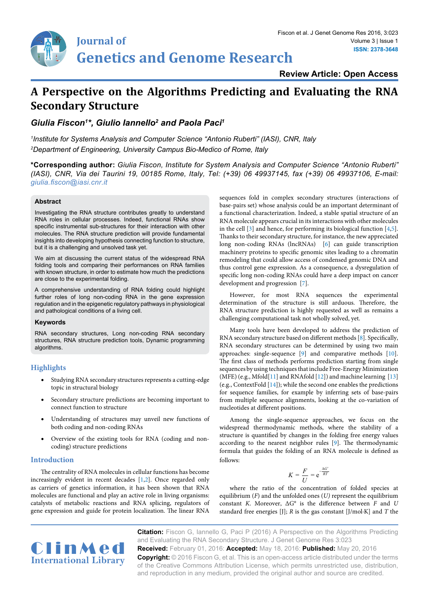**Review Article: Open Access**

# **A Perspective on the Algorithms Predicting and Evaluating the RNA Secondary Structure**

*Giulia Fiscon1 \*, Giulio Iannello2 and Paola Paci1*

*1 Institute for Systems Analysis and Computer Science "Antonio Ruberti" (IASI), CNR, Italy 2 Department of Engineering, University Campus Bio-Medico of Rome, Italy*

**\*Corresponding author:** *Giulia Fiscon, Institute for System Analysis and Computer Science "Antonio Ruberti" (IASI), CNR, Via dei Taurini 19, 00185 Rome, Italy, Tel: (+39) 06 49937145, fax (+39) 06 49937106, E-mail: giulia.fiscon@iasi.cnr.it*

### **Abstract**

Investigating the RNA structure contributes greatly to understand RNA roles in cellular processes. Indeed, functional RNAs show specific instrumental sub-structures for their interaction with other molecules. The RNA structure prediction will provide fundamental insights into developing hypothesis connecting function to structure, but it is a challenging and unsolved task yet.

We aim at discussing the current status of the widespread RNA folding tools and comparing their performances on RNA families with known structure, in order to estimate how much the predictions are close to the experimental folding.

A comprehensive understanding of RNA folding could highlight further roles of long non-coding RNA in the gene expression regulation and in the epigenetic regulatory pathways in physiological and pathological conditions of a living cell.

### **Keywords**

RNA secondary structures, Long non-coding RNA secondary structures, RNA structure prediction tools, Dynamic programming algorithms.

## **Highlights**

- Studying RNA secondary structures represents a cutting-edge topic in structural biology
- **•**  Secondary structure predictions are becoming important to connect function to structure
- **•**  Understanding of structures may unveil new functions of both coding and non-coding RNAs
- **•**  Overview of the existing tools for RNA (coding and noncoding) structure predictions

### **Introduction**

The centrality of RNA molecules in cellular functions has become increasingly evident in recent decades [[1](#page-6-5)[,2\]](#page-6-6). Once regarded only as carriers of genetics information, it has been shown that RNA molecules are functional and play an active role in living organisms: catalysts of metabolic reactions and RNA splicing, regulators of gene expression and guide for protein localization. The linear RNA

sequences fold in complex secondary structures (interactions of base-pairs set) whose analysis could be an important determinant of a functional characterization. Indeed, a stable spatial structure of an RNA molecule appears crucial in its interactions with other molecules in the cell [3] and hence, for performing its biological function [[4](#page-6-0)[,5\]](#page-6-1). Thanks to their secondary structure, for instance, the new appreciated long non-coding RNAs (lncRNAs) [\[6](#page-6-2)] can guide transcription machinery proteins to specific genomic sites leading to a chromatin remodeling that could allow access of condensed genomic DNA and thus control gene expression. As a consequence, a dysregulation of specific long non-coding RNAs could have a deep impact on cancer development and progression [\[7\]](#page-6-3).

However, for most RNA sequences the experimental determination of the structure is still arduous. Therefore, the RNA structure prediction is highly requested as well as remains a challenging computational task not wholly solved, yet.

Many tools have been developed to address the prediction of RNA secondary structure based on different methods [8]. Specifically, RNA secondary structures can be determined by using two main approaches: single-sequence [\[9\]](file:///E:/Clinmed/Articles/JCGT/Volume%202/JCGT%20Volume%202.2/JCGT_Ai/l ) and comparative methods [10]. The first class of methods performs prediction starting from single sequences by using techniques that include Free-Energy Minimization (MFE) (e.g., Mfold[11] and RNAfold [12]) and machine learning [\[13\]](#page-6-4) (e.g., ContextFold [14]); while the second one enables the predictions for sequence families, for example by inferring sets of base-pairs from multiple sequence alignments, looking at the co-variation of nucleotides at different positions.

Among the single-sequence approaches, we focus on the widespread thermodynamic methods, where the stability of a structure is quantified by changes in the folding free energy values according to the nearest neighbor rules [9]. The thermodynamic formula that guides the folding of an RNA molecule is defined as follows:

$$
K = \frac{F}{U} = e^{-\frac{\Delta G^c}{RT}}
$$

where the ratio of the concentration of folded species at equilibrium (*F*) and the unfolded ones (*U)* represent the equilibrium constant *K*. Moreover, ΔG° is the difference between *F* and *U* standard free energies [J]; *R* is the gas constant [J/mol·K] and *T* the



**Citation:** Fiscon G, Iannello G, Paci P (2016) A Perspective on the Algorithms Predicting and Evaluating the RNA Secondary Structure. J Genet Genome Res 3:023

**Received:** February 01, 2016: **Accepted:** May 18, 2016: **Published:** May 20, 2016 **Copyright:** © 2016 Fiscon G, et al. This is an open-access article distributed under the terms of the Creative Commons Attribution License, which permits unrestricted use, distribution, and reproduction in any medium, provided the original author and source are credited.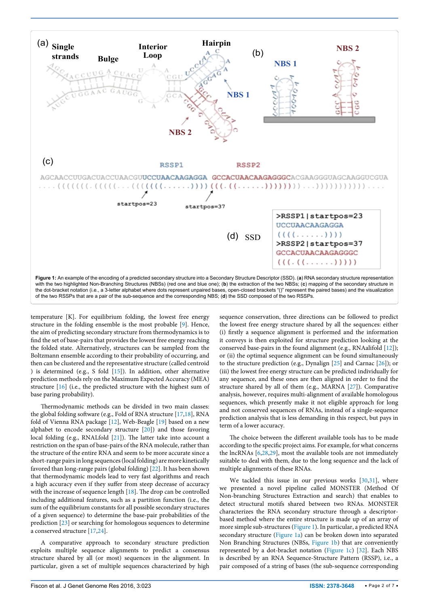<span id="page-1-0"></span>

temperature [K]. For equilibrium folding, the lowest free energy structure in the folding ensemble is the most probable [9]. Hence, the aim of predicting secondary structure from thermodynamics is to find the set of base-pairs that provides the lowest free energy reaching the folded state. Alternatively, structures can be sampled from the Boltzmann ensemble according to their probability of occurring, and then can be clustered and the representative structure (called centroid ) is determined (e.g., S fold [15]). In addition, other alternative prediction methods rely on the Maximum Expected Accuracy (MEA) structure [16] (i.e., the predicted structure with the highest sum of base paring probability).

Thermodynamic methods can be divided in two main classes: the global folding software (e.g., Fold of RNA structure [[17](#page-6-11)[,18\]](#page-6-12), RNA fold of Vienna RNA package [12], Web-Beagle [19] based on a new alphabet to encode secondary structure [20]) and those favoring local folding (e.g., RNALfold [21]). The latter take into account a restriction on the span of base-pairs of the RNA molecule, rather than the structure of the entire RNA and seem to be more accurate since a short-range pairs in long sequences (local folding) are more kinetically favored than long-range pairs (global folding) [22]. It has been shown that thermodynamic models lead to very fast algorithms and reach a high accuracy even if they suffer from steep decrease of accuracy with the increase of sequence length [18]. The drop can be controlled including additional features, such as a partition function (i.e., the sum of the equilibrium constants for all possible secondary structures of a given sequence) to determine the base-pair probabilities of the prediction [23] or searching for homologous sequences to determine a conserved structure [[17,](#page-6-11)[24](#page-6-13)].

A comparative approach to secondary structure prediction exploits multiple sequence alignments to predict a consensus structure shared by all (or most) sequences in the alignment. In particular, given a set of multiple sequences characterized by high

sequence conservation, three directions can be followed to predict the lowest free energy structure shared by all the sequences: either (i) firstly a sequence alignment is performed and the information it conveys is then exploited for structure prediction looking at the conserved base-pairs in the found alignment (e.g., RNAalifold [12]); or (ii) the optimal sequence alignment can be found simultaneously to the structure prediction (e.g., Dynalign [25] and Carnac [26]); or (iii) the lowest free energy structure can be predicted individually for any sequence, and these ones are then aligned in order to find the structure shared by all of them (e.g., MARNA [27]). Comparative analysis, however, requires multi-alignment of available homologous sequences, which presently make it not eligible approach for long and not conserved sequences of RNAs, instead of a single-sequence prediction analysis that is less demanding in this respect, but pays in term of a lower accuracy.

The choice between the different available tools has to be made according to the specific project aims. For example, for what concerns the lncRNAs [\[6](#page-6-2),[28](#page-6-7)[,29\]](#page-6-8), most the available tools are not immediately suitable to deal with them, due to the long sequence and the lack of multiple alignments of these RNAs.

We tackled this issue in our previous works [[30](#page-6-9)[,31\]](#page-6-10), where we presented a novel pipeline called MONSTER (Method Of Non-branching Structures Extraction and search) that enables to detect structural motifs shared between two RNAs. MONSTER characterizes the RNA secondary structure through a descriptorbased method where the entire structure is made up of an array of more simple sub-structures ([Figure 1](#page-1-0)). In particular, a predicted RNA secondary structure ([Figure 1a\)](#page-1-0) can be broken down into separated Non Branching Structures (NBSs, [Figure 1b](#page-1-0)) that are conveniently represented by a dot-bracket notation [\(Figure 1c](#page-1-0)) [32]. Each NBS is described by an RNA Sequence-Structure Pattern (RSSP), i.e., a pair composed of a string of bases (the sub-sequence corresponding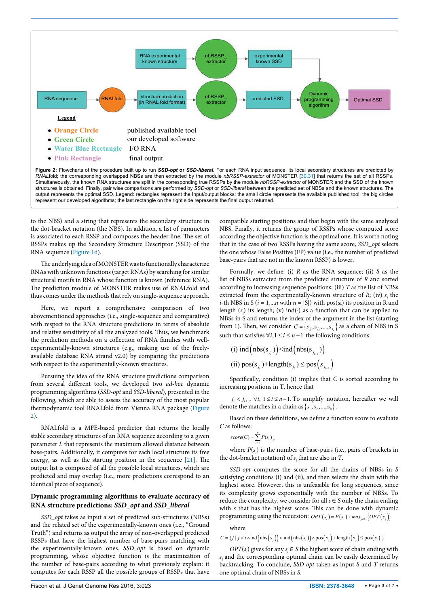<span id="page-2-0"></span>

to the NBS) and a string that represents the secondary structure in the dot-bracket notation (the NBS). In addition, a list of parameters is associated to each RSSP and composes the header line. The set of RSSPs makes up the Secondary Structure Descriptor (SSD) of the RNA sequence [\(Figure 1d\)](#page-1-0).

The underlying idea of MONSTER was to functionally characterize RNAs with unknown functions (target RNAs) by searching for similar structural motifs in RNA whose function is known (reference RNA). The prediction module of MONSTER makes use of RNALfold and thus comes under the methods that rely on single-sequence approach.

Here, we report a comprehensive comparison of two abovementioned approaches (i.e., single-sequence and comparative) with respect to the RNA structure predictions in terms of absolute and relative sensitivity of all the analyzed tools. Thus, we benchmark the prediction methods on a collection of RNA families with wellexperimentally-known structures (e.g., making use of the freelyavailable database RNA strand v2.0) by comparing the predictions with respect to the experimentally-known structures.

Pursuing the idea of the RNA structure predictions comparison from several different tools, we developed two *ad-hoc* dynamic programming algorithms (*SSD-opt* and *SSD-liberal*), presented in the following, which are able to assess the accuracy of the most popular thermodynamic tool RNALfold from Vienna RNA package [\(Figure](#page-2-0)  [2\)](#page-2-0).

RNALfold is a MFE-based predictor that returns the locally stable secondary structures of an RNA sequence according to a given parameter *L* that represents the maximum allowed distance between base-pairs. Additionally, it computes for each local structure its free energy, as well as the starting position in the sequence [21]. The output list is composed of all the possible local structures, which are predicted and may overlap (i.e., more predictions correspond to an identical piece of sequence).

## **Dynamic programming algorithms to evaluate accuracy of RNA structure predictions:** *SSD\_opt* **and** *SSD\_liberal*

*SSD\_opt* takes as input a set of predicted sub-structures (NBSs) and the related set of the experimentally-known ones (i.e., "Ground Truth") and returns as output the array of non-overlapped predicted RSSPs that have the highest number of base-pairs matching with the experimentally-known ones. *SSD\_opt* is based on dynamic programming, whose objective function is the maximization of the number of base-pairs according to what previously explain: it computes for each RSSP all the possible groups of RSSPs that have

compatible starting positions and that begin with the same analyzed NBS. Finally, it returns the group of RSSPs whose computed score according the objective function is the optimal one. It is worth noting that in the case of two RSSPs having the same score, *SSD\_opt* selects the one whose False Positive (FP) value (i.e., the number of predicted base-pairs that are not in the known RSSP) is lower.

Formally, we define: (i) *R* as the RNA sequence; (ii) *S* as the list of NBSs extracted from the predicted structure of *R* and sorted according to increasing sequence positions; (iii) *T* as the list of NBSs extracted from the experimentally-known structure of  $R$ ; (iv)  $s<sub>i</sub>$  the *i*-th NBS in S ( $i = 1, \ldots, n$  with  $n = |S|$ ) with pos(si) its position in R and length (*si* ) its length; (v) ind(∙) as a function that can be applied to NBSs in S and returns the index of the argument in the list (starting from 1). Then, we consider  $C = \{s_{j_1}, s_{j_2},...,s_{j_n}\}$  as a chain of NBS in S such that satisfies  $∀i, 1 ≤ i ≤ n-1$  the following conditions:

(i) ind(hbs(s<sub>j<sub>i</sub></sub>))j<sub>i+1</sub>)  
(ii) pos(s<sub>j<sub>i</sub></sub>)+length(s<sub>j<sub>i</sub></sub>) 
$$
\leq
$$
 pos(s<sub>j<sub>i+1</sub></sub>)

Specifically, condition (i) implies that *C* is sorted according to increasing positions in T, hence that

 $j_i < j_{i+1}$ ,  $\forall i, 1 \le i \le n-1$ . To simplify notation, hereafter we will denote the matches in a chain as  $\{s_1, s_2, ..., s_n\}$ .

Based on these definitions, we define a function score to evaluate *C* as follows:

$$
score(C) = \sum_{i=1}^{n} P(s_i),
$$

where  $P(s_i)$  is the number of base-pairs (i.e., pairs of brackets in the dot-bracket notation) of  $s_i$  that are also in *T*.

*SSD-opt* computes the score for all the chains of NBSs in *S*  satisfying conditions (i) and (ii), and then selects the chain with the highest score. However, this is unfeasible for long sequences, since its complexity grows exponentially with the number of NBSs. To reduce the complexity, we consider for all  $s \in S$  only the chain ending with *s* that has the highest score. This can be done with dynamic programming using the recursion:  $OPT(s_i) = P(s_i) + max_{i \in C} \{OPT(s_i)\}$ 

where

$$
C = \{j \mid j < i \land \text{ind} \left( \text{nbs}(s_j) \right) < \text{ind} \left( \text{nbs}(s_i) \right) \land \text{pos}(s_j) + \text{length} \left( s_j \right) \leq \text{pos}(s_i) \}
$$

*OPT*( $s<sub>i</sub>$ ) gives for any  $s<sub>i</sub> \in S$  the highest score of chain ending with *si* and the corresponding optimal chain can be easily determined by backtracking. To conclude, *SSD-opt* taken as input *S* and *T* returns one optimal chain of NBSs in *S*.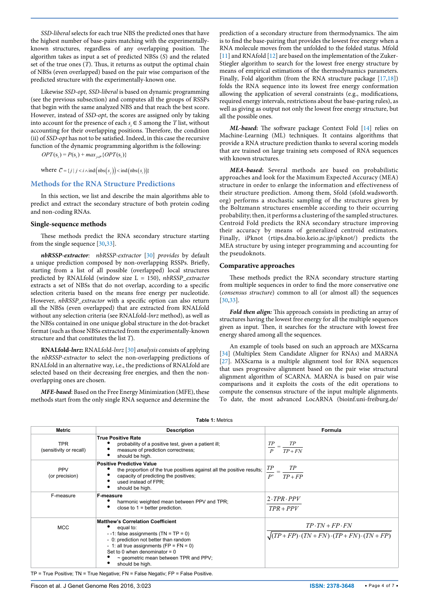*SSD-liberal* selects for each true NBS the predicted ones that have the highest number of base-pairs matching with the experimentallyknown structures, regardless of any overlapping position. The algorithm takes as input a set of predicted NBSs (*S*) and the related set of the true ones (*T*). Thus, it returns as output the optimal chain of NBSs (even overlapped) based on the pair wise comparison of the predicted structure with the experimentally-known one.

Likewise *SSD-opt, SSD-liberal* is based on dynamic programming (see the previous subsection) and computes all the groups of RSSPs that begin with the same analyzed NBS and that reach the best score. However, instead of *SSD-opt*, the scores are assigned only by taking into account for the presence of each  $s \in S$  among the *T* list, without accounting for their overlapping positions. Therefore, the condition (ii) of *SSD-opt* has not to be satisfied. Indeed, in this case the recursive function of the dynamic programming algorithm is the following:

 $OPT(s_i) = P(s_i) + max_{i \in \mathbb{Z}} \{OPT(s_i)\}$ 

where  $\overline{C} = \{j \mid j < i \land \text{ind} \big( \text{nbs}(s_i) \big) \leq \text{ind} \big( \text{nbs}(s_i) \big) \}$ 

#### **Methods for the RNA Structure Predictions**

In this section, we list and describe the main algorithms able to predict and extract the secondary structure of both protein coding and non-coding RNAs.

#### **Single-sequence methods**

These methods predict the RNA secondary structure starting from the single sequence [[30,](#page-6-9)[33](#page-6-16)].

*nbRSSP-extractor: nbRSSP-extractor* [30] *provides* by default a unique prediction composed by non-overlapping RSSPs. Briefly, starting from a list of all possible (overlapped) local structures predicted by RNALfold (window size L = 150), *nbRSSP\_extractor*  extracts a set of NBSs that do not overlap, according to a specific selection criteria based on the means free energy per nucleotide. However, *nbRSSP\_extractor* with a specific option can also return all the NBSs (even overlapped) that are extracted from RNALfold without any selection criteria (see RNALfold-*lnrz* method), as well as the NBSs contained in one unique global structure in the dot-bracket format (such as those NBSs extracted from the experimentally-known structure and that constitutes the list *T*).

**RNALfold***-lnrz***:** RNALfold*-lnrz* [30] *analysis* consists of applying the *nbRSSP-extractor* to select the non-overlapping predictions of RNALfold in an alternative way, i.e., the predictions of RNALfold are selected based on their decreasing free energies, and then the nonoverlapping ones are chosen.

*MFE-based*: Based on the Free Energy Minimization (MFE), these methods start from the only single RNA sequence and determine the

prediction of a secondary structure from thermodynamics. The aim is to find the base-pairing that provides the lowest free energy when a RNA molecule moves from the unfolded to the folded status. Mfold [11] and RNAfold [[12\]](#page-6-14) are based on the implementation of the Zuker-Stiegler algorithm to search for the lowest free energy structure by means of empirical estimations of the thermodynamics parameters. Finally, Fold algorithm (from the RNA structure package [\[17,](#page-6-11)[18\]](#page-6-12)) folds the RNA sequence into its lowest free energy conformation allowing the application of several constraints (e.g., modifications, required energy intervals, restrictions about the base-paring rules), as well as giving as output not only the lowest free energy structure, but all the possible ones.

*ML-based***:** The software package Context Fold [\[14\]](#page-6-15) relies on Machine-Learning (ML) techniques. It contains algorithms that provide a RNA structure prediction thanks to several scoring models that are trained on large training sets composed of RNA sequences with known structures.

*MEA-based***:** Several methods are based on probabilistic approaches and look for the Maximum Expected Accuracy (MEA) structure in order to enlarge the information and effectiveness of their structure prediction. Among them, Sfold (sfold.wadsworth. org) performs a stochastic sampling of the structures given by the Boltzmann structures ensemble according to their occurring probability; then, it performs a clustering of the sampled structures. Centroid Fold predicts the RNA secondary structure improving their accuracy by means of generalized centroid estimators. Finally, iPknot ([rtips.dna.bio.keio.ac.jp/ipknot/](http://rtips.dna.bio.keio.ac.jp/ipknot/)) predicts the MEA structure by using integer programming and accounting for the pseudoknots.

#### **Comparative approaches**

These methods predict the RNA secondary structure starting from multiple sequences in order to find the more conservative one (*consensus structure*) common to all (or almost all) the sequences [[30](#page-6-9),[33](#page-6-16)].

*Fold then align:* This approach consists in predicting an array of structures having the lowest free energy for all the multiple sequences given as input. Then, it searches for the structure with lowest free energy shared among all the sequences.

An example of tools based on such an approach are MXScarna [[34](#page-6-17)] (Multiplex Stem Candidate Aligner for RNAs) and MARNA [27]. MXScarna is a multiple alignment tool for RNA sequences that uses progressive alignment based on the pair wise structural alignment algorithm of SCARNA. MARNA is based on pair wise comparisons and it exploits the costs of the edit operations to compute the consensus structure of the input multiple alignments. To date, the most advanced LocARNA (bioinf.uni-freiburg.de/

| Metric                                | <b>Description</b>                                                                                                                                                                                                                                                                          | Formula                                                                                           |  |  |  |  |
|---------------------------------------|---------------------------------------------------------------------------------------------------------------------------------------------------------------------------------------------------------------------------------------------------------------------------------------------|---------------------------------------------------------------------------------------------------|--|--|--|--|
| <b>TPR</b><br>(sensitivity or recall) | <b>True Positive Rate</b><br>probability of a positive test, given a patient ill;<br>measure of prediction correctness;<br>should be high.                                                                                                                                                  | $\frac{TP}{P} = \frac{TP}{TP + FN}$                                                               |  |  |  |  |
| <b>PPV</b><br>(or precision)          | <b>Positive Predictive Value</b><br>the proportion of the true positives against all the positive results;<br>capacity of predicting the positives;<br>used instead of FPR;<br>should be high.                                                                                              | $\frac{TP}{P'} = \frac{TP}{TP + FP}$                                                              |  |  |  |  |
| F-measure                             | <b>F-measure</b><br>harmonic weighted mean between PPV and TPR;<br>close to $1 =$ better prediction.                                                                                                                                                                                        | $2$ $TPR$ $PPV$<br>$TPR + PPV$                                                                    |  |  |  |  |
| <b>MCC</b>                            | <b>Matthew's Correlation Coefficient</b><br>equal to:<br>$-1$ : false assignments (TN = TP = 0)<br>- 0: prediction not better than random<br>- 1: all true assignments (FP = $FN = 0$ )<br>Set to 0 when denominator = $0$<br>$\sim$ geometric mean between TPR and PPV;<br>should be high. | $TP \cdot TN + FP \cdot FN$<br>$\sqrt{(TP + FP) \cdot (TN + FN) \cdot (TP + FN) \cdot (TN + FP)}$ |  |  |  |  |

#### <span id="page-3-0"></span>**Table 1:** Metrics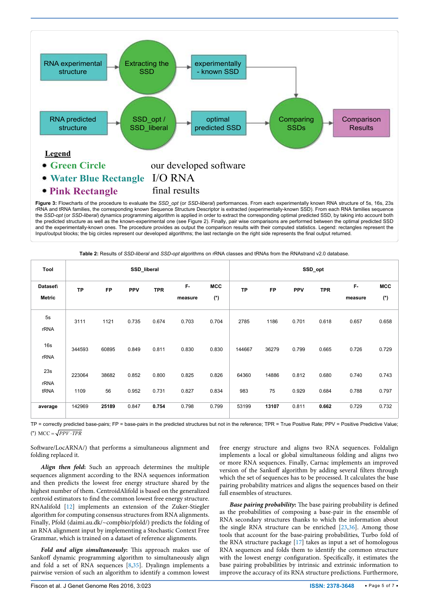<span id="page-4-0"></span>

the predicted structure as well as the known-experimental one (see Figure 2). Finally, pair wise comparisons are performed between the optimal predicted SSD and the experimentally-known ones. The procedure provides as output the comparison results with their computed statistics. Legend: rectangles represent the Input/output blocks; the big circles represent our developed algorithms; the last rectangle on the right side represents the final output returned.

| Tool                      | SSD_liberal |           |            |            |               |                     | SSD_opt   |           |       |            |               |                     |
|---------------------------|-------------|-----------|------------|------------|---------------|---------------------|-----------|-----------|-------|------------|---------------|---------------------|
| Dataset\<br><b>Metric</b> | <b>TP</b>   | <b>FP</b> | <b>PPV</b> | <b>TPR</b> | F-<br>measure | <b>MCC</b><br>$(*)$ | <b>TP</b> | <b>FP</b> | PPV   | <b>TPR</b> | F-<br>measure | <b>MCC</b><br>$(*)$ |
| 5s<br>rRNA                | 3111        | 1121      | 0.735      | 0.674      | 0.703         | 0.704               | 2785      | 1186      | 0.701 | 0.618      | 0.657         | 0.658               |
| 16s<br>rRNA               | 344593      | 60895     | 0.849      | 0.811      | 0.830         | 0.830               | 144667    | 36279     | 0.799 | 0.665      | 0.726         | 0.729               |
| 23s<br>rRNA               | 223064      | 38682     | 0.852      | 0.800      | 0.825         | 0.826               | 64360     | 14886     | 0.812 | 0.680      | 0.740         | 0.743               |
| tRNA                      | 1109        | 56        | 0.952      | 0.731      | 0.827         | 0.834               | 983       | 75        | 0.929 | 0.684      | 0.788         | 0.797               |
| average                   | 142969      | 25189     | 0.847      | 0.754      | 0.798         | 0.799               | 53199     | 13107     | 0.811 | 0.662      | 0.729         | 0.732               |

<span id="page-4-1"></span>**Table 2:** Results of *SSD-liberal* and *SSD-opt* algorithms on rRNA classes and tRNAs from the RNAstrand v2.0 database.

TP = correctly predicted base-pairs; FP = base-pairs in the predicted structures but not in the reference; TPR = True Positive Rate; PPV = Positive Predictive Value; (\*)  $MCC = \sqrt{PPV \cdot TPR}$ 

Software/LocARNA/) that performs a simultaneous alignment and folding replaced it.

*Align then fold***:** Such an approach determines the multiple sequences alignment according to the RNA sequences information and then predicts the lowest free energy structure shared by the highest number of them. CentroidAlifold is based on the generalized centroid estimators to find the common lowest free energy structure. RNAalifold [12] implements an extension of the Zuker-Stiegler algorithm for computing consensus structures from RNA alignments. Finally, Pfold [\(daimi.au.dk/~compbio/pfold/\)](http://daimi.au.dk/~compbio/pfold/) predicts the folding of an RNA alignment input by implementing a Stochastic Context Free Grammar, which is trained on a dataset of reference alignments.

*Fold and align simultaneously***:** This approach makes use of Sankoff dynamic programming algorithm to simultaneously align and fold a set of RNA sequences [[8](#page-6-20)[,35\]](#page-6-21). Dyalingn implements a pairwise version of such an algorithm to identify a common lowest

free energy structure and aligns two RNA sequences. Foldalign implements a local or global simultaneous folding and aligns two or more RNA sequences. Finally, Carnac implements an improved version of the Sankoff algorithm by adding several filters through which the set of sequences has to be processed. It calculates the base pairing probability matrices and aligns the sequences based on their full ensembles of structures.

*Base pairing probability***:** The base pairing probability is defined as the probabilities of composing a base-pair in the ensemble of RNA secondary structures thanks to which the information about the single RNA structure can be enriched [\[23,](#page-6-18)[36\]](#page-6-19). Among those tools that account for the base-pairing probabilities, Turbo fold of the RNA structure package [17] takes as input a set of homologous RNA sequences and folds them to identify the common structure with the lowest energy configuration. Specifically, it estimates the base pairing probabilities by intrinsic and extrinsic information to improve the accuracy of its RNA structure predictions. Furthermore,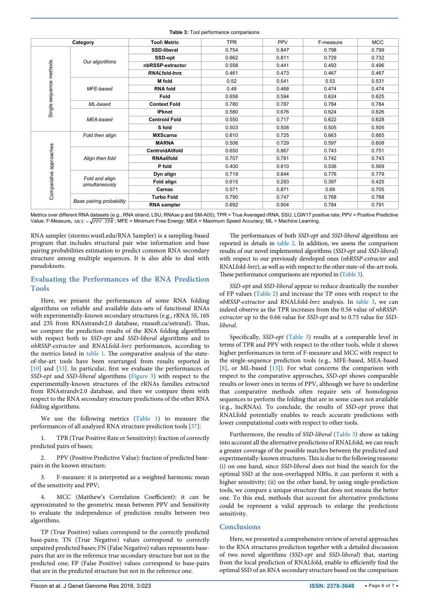<span id="page-5-0"></span>**Table 3:** Tool performance comparisons  **Category Tool\ Metric** TPR PPV F-measure MCC **SSD-liberal** 0.754 0.847 0.798 0.799 **SSD-opt** 0.662 0.811 0.729 0.732 *Our algorithms* Single sequence methods Single sequence methods **nbRSSP-extractor** 0.558 0.441 0.493 0.496 *RNAL***fold-lnrz** 0.461 0.473 0.467 0.467 **M fold** 0.52 0.541 0.53 0.531 *MFE-based* **RNA fold**  $\begin{array}{|c|c|c|c|c|c|} \hline \textbf{0.48} & \textbf{0.468} & \textbf{0.474} & \textbf{0.474} \hline \end{array}$ **Fold** 0.658 0.594 0.624 0.625 *ML-based* **Context Fold** 0.780 0.787 0.784 0.784 **IPknot** 0.580 0.676 0.624 0.626 **Centroid Fold** 0.550 0.717 0.622 0.628 *MEA-based* **S fold** 0.503 0.508 0.505 0.505 *Fold then align* **MXScarna** 0.610 0.725 0.663 0.665 **MARNA** 0.506 0.729 0.597 0.608 Valign then fold<br>
Centroid Align then fold<br>
a Align then fold<br> **EXALIFOLD**<br> **EXALIFOLD**<br> **EXALIFOLD**<br> **Pold**<br> **Pold and align**<br> **Pold and align**<br> **Pold and align**<br> **Pold and align**<br> **Pold and align**<br> **Pold align**<br> **COMPA CentroidAlifold** 1 0.650 0.867 0.743 0.751 *Align then fold* **RNAalifold** 0.707 0.781 0.742 0.743 **P fold** 0.400 0.810 0.536 0.569 **Dyn align 0.719 0.844 0.776 0.779** *Fold and align* **Fold align** 0.615 0.293 0.397 0.425 *simultaneously* **Carnac** (0.571 0.871 0.871 0.69 0.705 **Turbo Fold** 0.790 0.747 0.768 0.768 *Base pairing probability* **RNA sampler** 0.692 0.904 0.784 0.791

Metrics over different RNA datasets (e.g., RNA strand, LSU, RNAse p and SM-A05), TPR = True Averaged rRNA, SSU, LGW17 positive rate; PPV = Positive Predictive

RNA sampler (stormo.wustl.edu/RNA Sampler) is a sampling-based program that includes structural pair wise information and base pairing probabilities estimation to predict common RNA secondary structure among multiple sequences. It is also able to deal with pseudoknots.

## **Evaluating the Performances of the RNA Prediction Tools**

Here, we present the performances of some RNA folding algorithms on reliable and available data-sets of functional RNAs with experimentally-known secondary structures (e.g., rRNA 5S, 16S and 23S from RNAstrandv2.0 database, rnasoft.ca/sstrand). Thus, we compare the prediction results of the RNA folding algorithms with respect both to *SSD-opt* and *SSD-liberal* algorithms and to *nbRSSP-extractor* and RNALfold*-lnrz* performances, according to the metrics listed in [table 1.](#page-3-0) The comparative analysis of the stateof-the-art tools have been rearranged from results reported in [10] and [33]. In particular, first we evaluate the performances of *SSD-opt* and *SSD-liberal* algorithms ([Figure 3](#page-4-0)) with respect to the experimentally-known structures of the rRNAs families extracted from RNAstrandv2.0 database, and then we compare them with respect to the RNA secondary structure predictions of the other RNA folding algorithms.

We use the following metrics [\(Table 1](#page-3-0)) to measure the performances of all analyzed RNA structure prediction tools [\[37\]](#page-6-22):

1. TPR (True Positive Rate or Sensitivity): fraction of correctly predicted pairs of bases;

2. PPV (Positive Predictive Value): fraction of predicted basepairs in the known structure;

3. F-measure: it is interpreted as a weighted harmonic mean of the sensitivity and PPV;

4. MCC (Matthew's Correlation Coefficient): it can be approximated to the geometric mean between PPV and Sensitivity to evaluate the independence of prediction results between two algorithms.

TP (True Positive) values correspond to the correctly predicted base-pairs; TN (True Negative) values correspond to correctly unpaired predicted bases; FN (False Negative) values represents basepairs that are in the reference true secondary structure but not in the predicted one; FP (False Positive) values correspond to base-pairs that are in the predicted structure but not in the reference one.

The performances of both *SSD-opt* and *SSD-liberal* algorithms are reported in details in [table 2.](#page-4-1) In addition, we assess the comparison results of our novel implemented algorithms (*SSD-opt* and *SSD-liberal*) with respect to our previously developed ones (*nbRSSP-extractor* and RNALfold*-lnrz*), as well as with respect to the other state-of-the-art tools. These performance comparisons are reported in ([Table 3\)](#page-5-0).

*SSD-opt* and *SSD-liberal* appear to reduce drastically the number of FP values [\(Table 2\)](#page-4-1) and increase the TP ones with respect to the *nbRSSP-extractor* and RNALfold*-lnrz* analysis. In [table 3](#page-5-0), we can indeed observe as the TPR increases from the 0.56 value of *nbRSSPextractor* up to the 0.66 value for *SSD-opt* and to 0.75 value for *SSDliberal*.

Specifically, *SSD-opt* [\(Table 3](#page-5-0)) results at a comparable level in terms of TPR and PPV with respect to the other tools, while it shows higher performances in term of F-measure and MCC with respect to the single-sequence prediction tools (e.g., MFE-based, MEA-based [8], or ML-based [13]). For what concerns the comparison with respect to the comparative approaches, *SSD-opt* shows comparable results or lower ones in terms of PPV, although we have to underline that comparative methods often require sets of homologous sequences to perform the folding that are in some cases not available (e.g., lncRNAs). To conclude, the results of *SSD-opt* prove that RNALfold potentially enables to reach accurate predictions with lower computational costs with respect to other tools.

Furthermore, the results of *SSD-liberal* [\(Table 3](#page-5-0)) show as taking into account all the alternative predictions of RNALfold, we can reach a greater coverage of the possible matches between the predicted and experimentally-known structures. This is due to the following reasons: (i) on one hand, since *SSD-liberal* does not bind the search for the optimal SSD at the non-overlapped NBSs, it can perform it with a higher sensitivity; (ii) on the other hand, by using single-prediction tools, we compare a unique structure that does not means the better one. To this end, methods that account for alternative predictions could be represent a valid approach to enlarge the predictions sensitivity.

## **Conclusions**

Here, we presented a comprehensive review of several approaches to the RNA structures prediction together with a detailed discussion of two novel algorithms (*SSD-opt* and *SSD-liberal*) that, starting from the local prediction of RNALfold, enable to efficiently find the optimal SSD of an RNA secondary structure based on the comparison